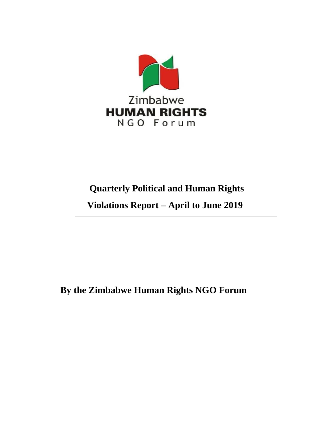

# **Quarterly Political and Human Rights**

 **Violations Report – April to June 2019**

**By the Zimbabwe Human Rights NGO Forum**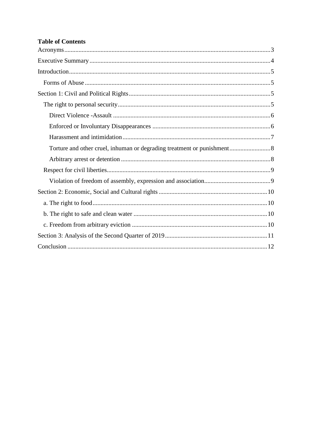## **Table of Contents**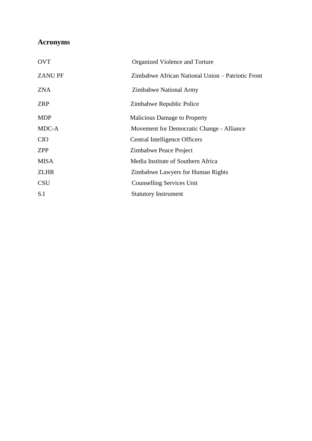## <span id="page-2-0"></span>**Acronyms**

| <b>OVT</b>    | Organized Violence and Torture                    |  |  |
|---------------|---------------------------------------------------|--|--|
| <b>ZANUPF</b> | Zimbabwe African National Union – Patriotic Front |  |  |
| <b>ZNA</b>    | Zimbabwe National Army                            |  |  |
| <b>ZRP</b>    | Zimbabwe Republic Police                          |  |  |
| <b>MDP</b>    | <b>Malicious Damage to Property</b>               |  |  |
| MDC-A         | Movement for Democratic Change - Alliance         |  |  |
| <b>CIO</b>    | Central Intelligence Officers                     |  |  |
| <b>ZPP</b>    | Zimbabwe Peace Project                            |  |  |
| <b>MISA</b>   | Media Institute of Southern Africa                |  |  |
| <b>ZLHR</b>   | Zimbabwe Lawyers for Human Rights                 |  |  |
| <b>CSU</b>    | Counselling Services Unit                         |  |  |
| S.I           | <b>Statutory Instrument</b>                       |  |  |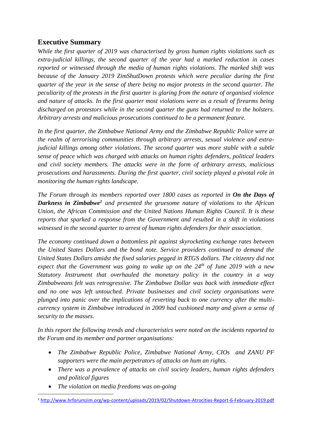## <span id="page-3-0"></span>**Executive Summary**

*While the first quarter of 2019 was characterised by gross human rights violations such as extra-judicial killings, the second quarter of the year had a marked reduction in cases reported or witnessed through the media of human rights violations. The marked shift was because of the January 2019 ZimShutDown protests which were peculiar during the first quarter of the year in the sense of there being no major protests in the second quarter. The peculiarity of the protests in the first quarter is glaring from the nature of organised violence and nature of attacks. In the first quarter most violations were as a result of firearms being discharged on protestors while in the second quarter the guns had returned to the holsters. Arbitrary arrests and malicious prosecutions continued to be a permanent feature.*

*In the first quarter, the Zimbabwe National Army and the Zimbabwe Republic Police were at the realm of terrorising communities through arbitrary arrests, sexual violence and extrajudicial killings among other violations. The second quarter was more stable with a subtle sense of peace which was charged with attacks on human rights defenders, political leaders and civil society members. The attacks were in the form of arbitrary arrests, malicious prosecutions and harassments. During the first quarter, civil society played a pivotal role in monitoring the human rights landscape.* 

*The Forum through its members reported over 1800 cases as reported in On the Days of Darkness in Zimbabwe<sup>1</sup> and presented the gruesome nature of violations to the African Union, the African Commission and the United Nations Human Rights Council. It is these reports that sparked a response from the Government and resulted in a shift in violations witnessed in the second quarter to arrest of human rights defenders for their association.*

*The economy continued down a bottomless pit against skyrocketing exchange rates between the United States Dollars and the bond note. Service providers continued to demand the United States Dollars amidst the fixed salaries pegged in RTGS dollars. The citizenry did not expect that the Government was going to wake up on the 24th of June 2019 with a new Statutory Instrument that overhauled the monetary policy in the country in a way Zimbabweans felt was retrogressive. The Zimbabwe Dollar was back with immediate effect and no one was left untouched. Private businesses and civil society organisations were plunged into panic over the implications of reverting back to one currency after the multicurrency system in Zimbabwe introduced in 2009 had cushioned many and given a sense of security to the masses.* 

*In this report the following trends and characteristics were noted on the incidents reported to the Forum and its member and partner organisations:*

- *The Zimbabwe Republic Police, Zimbabwe National Army, CIOs and ZANU PF supporters were the main perpetrators of attacks on hum an rights.*
- *There was a prevalence of attacks on civil society leaders, human rights defenders and political figures*
- *The violation on media freedoms was on-going*

<sup>1</sup> <http://www.hrforumzim.org/wp-content/uploads/2019/02/Shutdown-Atrocities-Report-6-February-2019.pdf>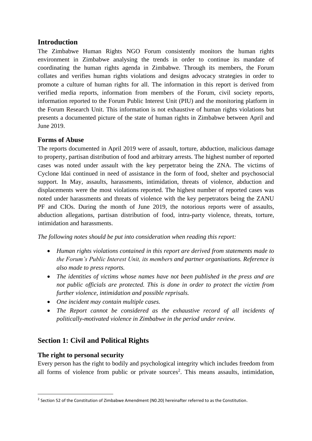## <span id="page-4-0"></span>**Introduction**

The Zimbabwe Human Rights NGO Forum consistently monitors the human rights environment in Zimbabwe analysing the trends in order to continue its mandate of coordinating the human rights agenda in Zimbabwe. Through its members, the Forum collates and verifies human rights violations and designs advocacy strategies in order to promote a culture of human rights for all. The information in this report is derived from verified media reports, information from members of the Forum, civil society reports, information reported to the Forum Public Interest Unit (PIU) and the monitoring platform in the Forum Research Unit. This information is not exhaustive of human rights violations but presents a documented picture of the state of human rights in Zimbabwe between April and June 2019.

## <span id="page-4-1"></span>**Forms of Abuse**

The reports documented in April 2019 were of assault, torture, abduction, malicious damage to property, partisan distribution of food and arbitrary arrests. The highest number of reported cases was noted under assault with the key perpetrator being the ZNA. The victims of Cyclone Idai continued in need of assistance in the form of food, shelter and psychosocial support. In May, assaults, harassments, intimidation, threats of violence, abduction and displacements were the most violations reported. The highest number of reported cases was noted under harassments and threats of violence with the key perpetrators being the ZANU PF and CIOs. During the month of June 2019, the notorious reports were of assaults, abduction allegations, partisan distribution of food, intra-party violence, threats, torture, intimidation and harassments.

*The following notes should be put into consideration when reading this report:* 

- *Human rights violations contained in this report are derived from statements made to the Forum's Public Interest Unit, its members and partner organisations. Reference is also made to press reports.*
- *The identities of victims whose names have not been published in the press and are not public officials are protected. This is done in order to protect the victim from further violence, intimidation and possible reprisals.*
- *One incident may contain multiple cases.*
- *The Report cannot be considered as the exhaustive record of all incidents of politically-motivated violence in Zimbabwe in the period under review.*

## <span id="page-4-2"></span>**Section 1: Civil and Political Rights**

## <span id="page-4-3"></span>**The right to personal security**

Every person has the right to bodily and psychological integrity which includes freedom from all forms of violence from public or private sources 2 . This means assaults, intimidation,

 $<sup>2</sup>$  Section 52 of the Constitution of Zimbabwe Amendment (N0.20) hereinafter referred to as the Constitution.</sup>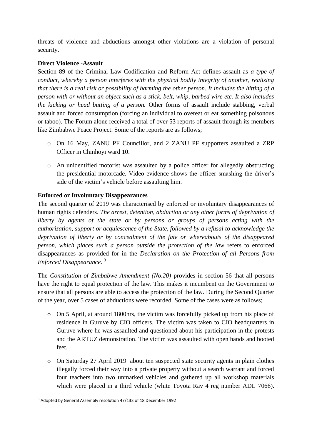threats of violence and abductions amongst other violations are a violation of personal security.

#### <span id="page-5-0"></span>**Direct Violence -Assault**

Section 89 of the Criminal Law Codification and Reform Act defines assault as *a type of conduct, whereby a person interferes with the physical bodily integrity of another, realizing that there is a real risk or possibility of harming the other person. It includes the hitting of a person with or without an object such as a stick, belt, whip, barbed wire etc. It also includes the kicking or head butting of a person.* Other forms of assault include stabbing, verbal assault and forced consumption (forcing an individual to overeat or eat something poisonous or taboo). The Forum alone received a total of over 53 reports of assault through its members like Zimbabwe Peace Project. Some of the reports are as follows;

- o On 16 May, ZANU PF Councillor, and 2 ZANU PF supporters assaulted a ZRP Officer in Chinhoyi ward 10.
- o An unidentified motorist was assaulted by a police officer for allegedly obstructing the presidential motorcade. Video evidence shows the officer smashing the driver's side of the victim's vehicle before assaulting him.

#### <span id="page-5-1"></span>**Enforced or Involuntary Disappearances**

The second quarter of 2019 was characterised by enforced or involuntary disappearances of human rights defenders. *The arrest, detention, abduction or any other forms of deprivation of liberty by agents of the state or by persons or groups of persons acting with the authorization, support or acquiescence of the State, followed by a refusal to acknowledge the deprivation of liberty or by concealment of the fate or whereabouts of the disappeared person, which places such a person outside the protection of the law* refers to enforced disappearances as provided for in the *Declaration on the Protection of all Persons from Enforced Disappearance*. 3

The *Constitution of Zimbabwe Amendment (No.20)* provides in section 56 that all persons have the right to equal protection of the law. This makes it incumbent on the Government to ensure that all persons are able to access the protection of the law. During the Second Quarter of the year, over 5 cases of abductions were recorded. Some of the cases were as follows;

- $\circ$  On 5 April, at around 1800 hrs, the victim was forcefully picked up from his place of residence in Guruve by CIO officers. The victim was taken to CIO headquarters in Guruve where he was assaulted and questioned about his participation in the protests and the ARTUZ demonstration. The victim was assaulted with open hands and booted feet.
- o On Saturday 27 April 2019 about ten suspected state security agents in plain clothes illegally forced their way into a private property without a search warrant and forced four teachers into two unmarked vehicles and gathered up all workshop materials which were placed in a third vehicle (white Toyota Rav 4 reg number ADL 7066).

<sup>3</sup> Adopted by General Assembly resolution 47/133 of 18 December 1992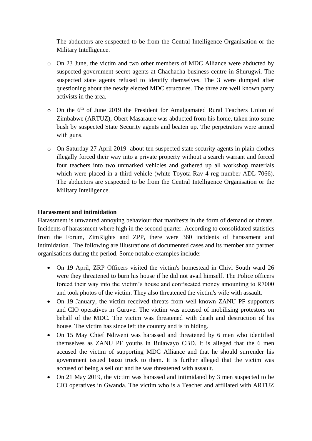The abductors are suspected to be from the Central Intelligence Organisation or the Military Intelligence.

- o On 23 June, the victim and two other members of MDC Alliance were abducted by suspected government secret agents at Chachacha business centre in Shurugwi. The suspected state agents refused to identify themselves. The 3 were dumped after questioning about the newly elected MDC structures. The three are well known party activists in the area.
- o On the 6<sup>th</sup> of June 2019 the President for Amalgamated Rural Teachers Union of Zimbabwe (ARTUZ), Obert Masaraure was abducted from his home, taken into some bush by suspected State Security agents and beaten up. The perpetrators were armed with guns.
- o On Saturday 27 April 2019 about ten suspected state security agents in plain clothes illegally forced their way into a private property without a search warrant and forced four teachers into two unmarked vehicles and gathered up all workshop materials which were placed in a third vehicle (white Toyota Rav 4 reg number ADL 7066). The abductors are suspected to be from the Central Intelligence Organisation or the Military Intelligence.

#### <span id="page-6-0"></span>**Harassment and intimidation**

Harassment is unwanted annoying behaviour that manifests in the form of demand or threats. Incidents of harassment where high in the second quarter. According to consolidated statistics from the Forum, ZimRights and ZPP, there were 360 incidents of harassment and intimidation. The following are illustrations of documented cases and its member and partner organisations during the period. Some notable examples include:

- On 19 April, ZRP Officers visited the victim's homestead in Chivi South ward 26 were they threatened to burn his house if he did not avail himself. The Police officers forced their way into the victim's house and confiscated money amounting to R7000 and took photos of the victim. They also threatened the victim's wife with assault.
- On 19 January, the victim received threats from well-known ZANU PF supporters and CIO operatives in Guruve. The victim was accused of mobilising protestors on behalf of the MDC. The victim was threatened with death and destruction of his house. The victim has since left the country and is in hiding.
- On 15 May Chief Ndiweni was harassed and threatened by 6 men who identified themselves as ZANU PF youths in Bulawayo CBD. It is alleged that the 6 men accused the victim of supporting MDC Alliance and that he should surrender his government issued Isuzu truck to them. It is further alleged that the victim was accused of being a sell out and he was threatened with assault.
- On 21 May 2019, the victim was harassed and intimidated by 3 men suspected to be CIO operatives in Gwanda. The victim who is a Teacher and affiliated with ARTUZ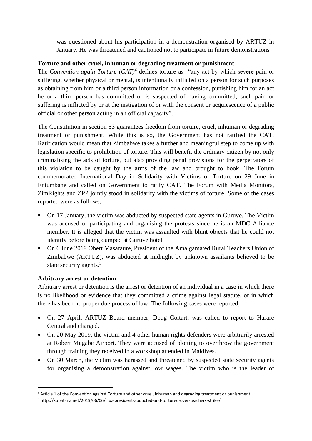was questioned about his participation in a demonstration organised by ARTUZ in January. He was threatened and cautioned not to participate in future demonstrations

#### <span id="page-7-0"></span>**Torture and other cruel, inhuman or degrading treatment or punishment**

The *Convention again Torture*  $(CAT)^4$  defines torture as "any act by which severe pain or suffering, whether physical or mental, is intentionally inflicted on a person for such purposes as obtaining from him or a third person information or a confession, punishing him for an act he or a third person has committed or is suspected of having committed; such pain or suffering is inflicted by or at the instigation of or with the consent or acquiescence of a public official or other person acting in an official capacity".

The Constitution in section 53 guarantees freedom from torture, cruel, inhuman or degrading treatment or punishment. While this is so, the Government has not ratified the CAT. Ratification would mean that Zimbabwe takes a further and meaningful step to come up with legislation specific to prohibition of torture. This will benefit the ordinary citizen by not only criminalising the acts of torture, but also providing penal provisions for the perpetrators of this violation to be caught by the arms of the law and brought to book. The Forum commemorated International Day in Solidarity with Victims of Torture on 29 June in Entumbane and called on Government to ratify CAT. The Forum with Media Monitors, ZimRights and ZPP jointly stood in solidarity with the victims of torture. Some of the cases reported were as follows;

- On 17 January, the victim was abducted by suspected state agents in Guruve. The Victim was accused of participating and organising the protests since he is an MDC Alliance member. It is alleged that the victim was assaulted with blunt objects that he could not identify before being dumped at Guruve hotel.
- On 6 June 2019 Obert Masaraure, President of the Amalgamated Rural Teachers Union of Zimbabwe (ARTUZ), was abducted at midnight by unknown assailants believed to be state security agents.<sup>5</sup>

## <span id="page-7-1"></span>**Arbitrary arrest or detention**

Arbitrary arrest or detention is the arrest or detention of an individual in a case in which there is no likelihood or evidence that they committed a crime against legal statute, or in which there has been no proper due process of law. The following cases were reported;

- On 27 April, ARTUZ Board member, Doug Coltart, was called to report to Harare Central and charged.
- On 20 May 2019, the victim and 4 other human rights defenders were arbitrarily arrested at Robert Mugabe Airport. They were accused of plotting to overthrow the government through training they received in a workshop attended in Maldives.
- On 30 March, the victim was harassed and threatened by suspected state security agents for organising a demonstration against low wages. The victim who is the leader of

<sup>4</sup> Article 1 of the Convention against Torture and other cruel, inhuman and degrading treatment or punishment.

<sup>5</sup> http://kubatana.net/2019/06/06/rtuz-president-abducted-and-tortured-over-teachers-strike/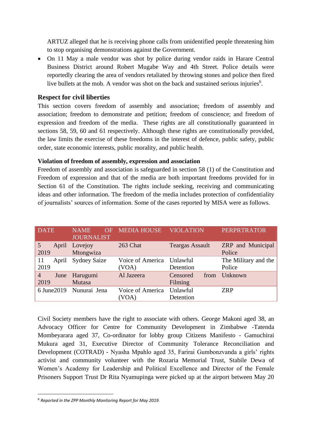ARTUZ alleged that he is receiving phone calls from unidentified people threatening him to stop organising demonstrations against the Government.

• On 11 May a male vendor was shot by police during vendor raids in Harare Central Business District around Robert Mugabe Way and 4th Street. Police details were reportedly clearing the area of vendors retaliated by throwing stones and police then fired live bullets at the mob. A vendor was shot on the back and sustained serious injuries<sup>6</sup>.

#### <span id="page-8-0"></span>**Respect for civil liberties**

This section covers freedom of assembly and association; freedom of assembly and association; freedom to demonstrate and petition; freedom of conscience; and freedom of expression and freedom of the media. These rights are all constitutionally guaranteed in sections 58, 59, 60 and 61 respectively. Although these rights are constitutionally provided, the law limits the exercise of these freedoms in the interest of defence, public safety, public order, state economic interests, public morality, and public health.

#### <span id="page-8-1"></span>**Violation of freedom of assembly, expression and association**

Freedom of assembly and association is safeguarded in section 58 (1) of the Constitution and Freedom of expression and that of the media are both important freedoms provided for in Section 61 of the Constitution. The rights include seeking, receiving and communicating ideas and other information. The freedom of the media includes protection of confidentiality of journalists' sources of information. Some of the cases reported by MISA were as follows.

| <b>DATE</b>                    | <b>NAME</b><br>OF<br><b>JOURNALIST</b> | <b>MEDIA HOUSE</b>        | <b>VIOLATION</b>            | <b>PERPRTRATOR</b>                 |
|--------------------------------|----------------------------------------|---------------------------|-----------------------------|------------------------------------|
| 5<br>April<br>2019             | Lovejoy<br>Mtongwiza                   | 263 Chat                  | <b>Teargas Assault</b>      | <b>ZRP</b> and Municipal<br>Police |
| 11<br>April<br>2019            | <b>Sydney Saize</b>                    | Voice of America<br>(VOA) | Unlawful<br>Detention       | The Military and the<br>Police     |
| $\overline{4}$<br>June<br>2019 | Harugumi<br>Mutasa                     | Al Jazeera                | Censored<br>from<br>Filming | Unknown                            |
| 6 June 2019                    | Nunurai Jena                           | Voice of America<br>(VOA) | Unlawful<br>Detention       | <b>ZRP</b>                         |

Civil Society members have the right to associate with others. George Makoni aged 38, an Advocacy Officer for Centre for Community Development in Zimbabwe -Tatenda Mombeyarara aged 37, Co-ordinator for lobby group Citizens Manifesto - Gamuchirai Mukura aged 31, Executive Director of Community Tolerance Reconciliation and Development (COTRAD) - Nyasha Mpahlo aged 35, Farirai Gumbonzvanda a girls' rights activist and community volunteer with the Rozaria Memorial Trust, Stabile Dewa of Women's Academy for Leadership and Political Excellence and Director of the Female Prisoners Support Trust Dr Rita Nyamupinga were picked up at the airport between May 20

<sup>6</sup> *Reported in the ZPP Monthly Monitoring Report for May 2019.*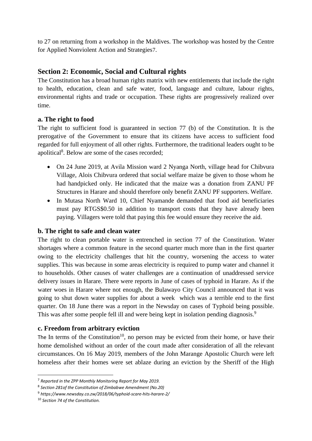to 27 on returning from a workshop in the Maldives. The workshop was hosted by the Centre for Applied Nonviolent Action and Strategies7.

## <span id="page-9-0"></span>**Section 2: Economic, Social and Cultural rights**

The Constitution has a broad human rights matrix with new entitlements that include the right to health, education, clean and safe water, food, language and culture, labour rights, environmental rights and trade or occupation. These rights are progressively realized over time.

#### <span id="page-9-1"></span>**a. The right to food**

The right to sufficient food is guaranteed in section 77 (b) of the Constitution. It is the prerogative of the Government to ensure that its citizens have access to sufficient food regarded for full enjoyment of all other rights. Furthermore, the traditional leaders ought to be apolitical<sup>8</sup>. Below are some of the cases recorded;

- On 24 June 2019, at Avila Mission ward 2 Nyanga North, village head for Chibvura Village, Alois Chibvura ordered that social welfare maize be given to those whom he had handpicked only. He indicated that the maize was a donation from ZANU PF Structures in Harare and should therefore only benefit ZANU PF supporters. Welfare.
- In Mutasa North Ward 10, Chief Nyamande demanded that food aid beneficiaries must pay RTGS\$0.50 in addition to transport costs that they have already been paying. Villagers were told that paying this fee would ensure they receive the aid.

#### <span id="page-9-2"></span>**b. The right to safe and clean water**

The right to clean portable water is entrenched in section 77 of the Constitution. Water shortages where a common feature in the second quarter much more than in the first quarter owing to the electricity challenges that hit the country, worsening the access to water supplies. This was because in some areas electricity is required to pump water and channel it to households. Other causes of water challenges are a continuation of unaddressed service delivery issues in Harare. There were reports in June of cases of typhoid in Harare. As if the water woes in Harare where not enough, the Bulawayo City Council announced that it was going to shut down water supplies for about a week which was a terrible end to the first quarter. On 18 June there was a report in the Newsday on cases of Typhoid being possible. This was after some people fell ill and were being kept in isolation pending diagnosis.<sup>9</sup>

## <span id="page-9-3"></span>**c. Freedom from arbitrary eviction**

The In terms of the Constitution<sup>10</sup>, no person may be evicted from their home, or have their home demolished without an order of the court made after consideration of all the relevant circumstances. On 16 May 2019, members of the John Marange Apostolic Church were left homeless after their homes were set ablaze during an eviction by the Sheriff of the High

<sup>7</sup> *Reported in the ZPP Monthly Monitoring Report for May 2019.*

<sup>8</sup> *Section 281of the Constitution of Zimbabwe Amendment (No.20)*

<sup>9</sup> *https://www.newsday.co.zw/2018/06/typhoid-scare-hits-harare-2/*

<sup>10</sup> *Section 74 of the Constitution.*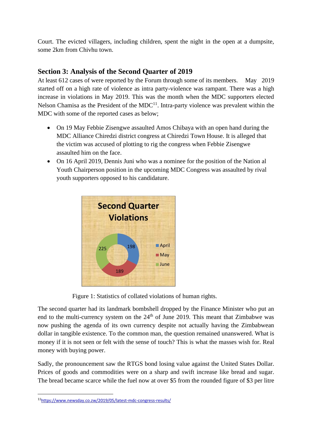Court. The evicted villagers, including children, spent the night in the open at a dumpsite, some 2km from Chivhu town.

## <span id="page-10-0"></span>**Section 3: Analysis of the Second Quarter of 2019**

At least 612 cases of were reported by the Forum through some of its members. May 2019 started off on a high rate of violence as intra party-violence was rampant. There was a high increase in violations in May 2019. This was the month when the MDC supporters elected Nelson Chamisa as the President of the  $MDC<sup>11</sup>$ . Intra-party violence was prevalent within the MDC with some of the reported cases as below;

- On 19 May Febbie Zisengwe assaulted Amos Chibaya with an open hand during the MDC Alliance Chiredzi district congress at Chiredzi Town House. It is alleged that the victim was accused of plotting to rig the congress when Febbie Zisengwe assaulted him on the face.
- On 16 April 2019, Dennis Juni who was a nominee for the position of the Nation al Youth Chairperson position in the upcoming MDC Congress was assaulted by rival youth supporters opposed to his candidature.



Figure 1: Statistics of collated violations of human rights.

The second quarter had its landmark bombshell dropped by the Finance Minister who put an end to the multi-currency system on the  $24<sup>th</sup>$  of June 2019. This meant that Zimbabwe was now pushing the agenda of its own currency despite not actually having the Zimbabwean dollar in tangible existence. To the common man, the question remained unanswered. What is money if it is not seen or felt with the sense of touch? This is what the masses wish for. Real money with buying power.

Sadly, the pronouncement saw the RTGS bond losing value against the United States Dollar. Prices of goods and commodities were on a sharp and swift increase like bread and sugar. The bread became scarce while the fuel now at over \$5 from the rounded figure of \$3 per litre

<sup>11</sup><https://www.newsday.co.zw/2019/05/latest-mdc-congress-results/>